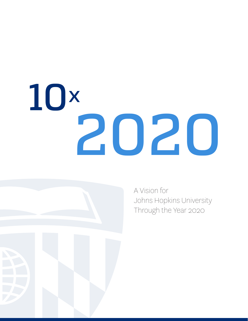# 10 2020 x



A Vision for Johns Hopkins University Through the Year 2020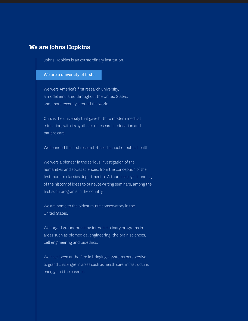### **We are Johns Hopkins**

Johns Hopkins is an extraordinary institution.

#### We are a university of firsts.

We were America's first research university, a model emulated throughout the United States, and, more recently, around the world.

Ours is the university that gave birth to modern medical education, with its synthesis of research, education and patient care.

We founded the first research-based school of public health.

We were a pioneer in the serious investigation of the humanities and social sciences, from the conception of the first modern classics department to Arthur Lovejoy's founding of the history of ideas to our elite writing seminars, among the first such programs in the country.

We are home to the oldest music conservatory in the United States.

We forged groundbreaking interdisciplinary programs in areas such as biomedical engineering, the brain sciences, cell engineering and bioethics.

We have been at the fore in bringing a systems perspective to grand challenges in areas such as health care, infrastructure, energy and the cosmos.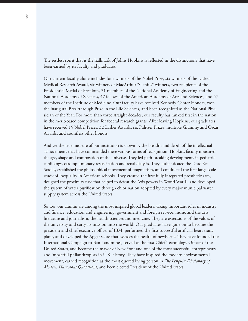The restless spirit that is the hallmark of Johns Hopkins is reflected in the distinctions that have been earned by its faculty and graduates.

Our current faculty alone includes four winners of the Nobel Prize, six winners of the Lasker Medical Research Award, six winners of MacArthur "Genius" winners, two recipients of the Presidential Medal of Freedom, 31 members of the National Academy of Engineering and the National Academy of Sciences, 47 fellows of the American Academy of Arts and Sciences, and 57 members of the Institute of Medicine. Our faculty have received Kennedy Center Honors, won the inaugural Breakthrough Prize in the Life Sciences, and been recognized as the National Physician of the Year. For more than three straight decades, our faculty has ranked first in the nation in the merit-based competition for federal research grants. After leaving Hopkins, our graduates have received 15 Nobel Prizes, 32 Lasker Awards, six Pulitzer Prizes, multiple Grammy and Oscar Awards, and countless other honors.

And yet the true measure of our institution is shown by the breadth and depth of the intellectual achievements that have commanded these various forms of recognition. Hopkins faculty measured the age, shape and composition of the universe. They led path-breaking developments in pediatric cardiology, cardiopulmonary resuscitation and renal dialysis. They authenticated the Dead Sea Scrolls, established the philosophical movement of pragmatism, and conducted the first large scale study of inequality in American schools. They created the first fully integrated prosthetic arm, designed the proximity fuse that helped to defeat the Axis powers in World War II, and developed the system of water purification through chlorination adopted by every major municipal water supply system across the United States.

So too, our alumni are among the most inspired global leaders, taking important roles in industry and finance, education and engineering, government and foreign service, music and the arts, literature and journalism, the health sciences and medicine. They are extensions of the values of the university and carry its mission into the world. Our graduates have gone on to become the president and chief executive officer of IBM, performed the first successful artificial heart transplant, and developed the Apgar score that assesses the health of newborns. They have founded the International Campaign to Ban Landmines, served as the first Chief Technology Officer of the United States, and become the mayor of New York and one of the most successful entrepreneurs and impactful philanthropists in U.S. history. They have inspired the modern environmental movement, earned recognition as the most quoted living person in *The Penguin Dictionary of Modern Humorous Quotations*, and been elected President of the United States.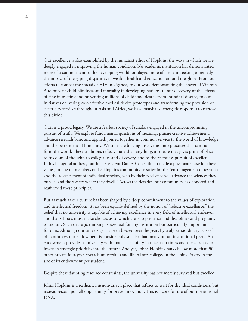Our excellence is also exemplified by the humanist ethos of Hopkins, the ways in which we are deeply engaged in improving the human condition. No academic institution has demonstrated more of a commitment to the developing world, or played more of a role in seeking to remedy the impact of the gaping disparities in wealth, health and education around the globe. From our efforts to combat the spread of HIV in Uganda, to our work demonstrating the power of Vitamin A to prevent child blindness and mortality in developing nations, to our discovery of the effects of zinc in treating and preventing millions of childhood deaths from intestinal disease, to our initiatives delivering cost-effective medical device prototypes and transforming the provision of electricity services throughout Asia and Africa, we have marshaled energetic responses to narrow this divide.

Ours is a proud legacy. We are a fearless society of scholars engaged in the uncompromising pursuit of truth. We explore fundamental questions of meaning, pursue creative achievement, advance research basic and applied, joined together in common service to the world of knowledge and the betterment of humanity. We translate bracing discoveries into practices that can transform the world. These traditions reflect, more than anything, a culture that gives pride of place to freedom of thought, to collegiality and discovery, and to the relentless pursuit of excellence. In his inaugural address, our first President Daniel Coit Gilman made a passionate case for these values, calling on members of the Hopkins community to strive for the "encouragement of research and the advancement of individual scholars, who by their excellence will advance the sciences they pursue, and the society where they dwell." Across the decades, our community has honored and reaffirmed these principles.

But as much as our culture has been shaped by a deep commitment to the values of exploration and intellectual freedom, it has been equally defined by the notion of "selective excellence," the belief that no university is capable of achieving excellence in every field of intellectual endeavor, and that schools must make choices as to which areas to prioritize and disciplines and programs to mount. Such strategic thinking is essential for any institution but particularly important for ours: Although our university has been blessed over the years by truly extraordinary acts of philanthropy, our endowment is considerably smaller than many of our institutional peers. An endowment provides a university with financial stability in uncertain times and the capacity to invest in strategic priorities into the future. And yet, Johns Hopkins ranks below more than 90 other private four-year research universities and liberal arts colleges in the United States in the size of its endowment per student.

Despite these daunting resource constraints, the university has not merely survived but excelled.

Johns Hopkins is a resilient, mission-driven place that refuses to wait for the ideal conditions, but instead seizes upon all opportunity for brave innovation. This is a core feature of our institutional DNA.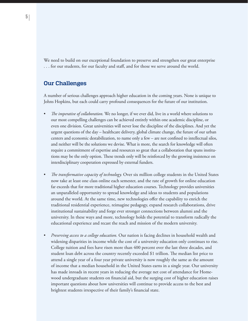We need to build on our exceptional foundation to preserve and strengthen our great enterprise . . . for our students, for our faculty and staff, and for those we serve around the world.

### **Our Challenges**

A number of serious challenges approach higher education in the coming years. None is unique to Johns Hopkins, but each could carry profound consequences for the future of our institution.

- *The imperative of collaboration*. We no longer, if we ever did, live in a world where solutions to our most compelling challenges can be achieved entirely within one academic discipline, or even one division. Great universities will never lose the discipline of the disciplines. And yet the urgent questions of the day – healthcare delivery, global climate change, the future of our urban centers and economic destabilization, to name only a few – are not confined to intellectual silos, and neither will be the solutions we devise. What is more, the search for knowledge will often require a commitment of expertise and resources so great that a collaboration that spans institutions may be the only option. These trends only will be reinforced by the growing insistence on interdisciplinary cooperation expressed by external funders.
- *The transformative capacity of technology*. Over six million college students in the United States now take at least one class online each semester, and the rate of growth for online education far exceeds that for more traditional higher education courses. Technology provides universities an unparalleled opportunity to spread knowledge and ideas to students and populations around the world. At the same time, new technologies offer the capability to enrich the traditional residential experience, reimagine pedagogy, expand research collaborations, drive institutional sustainability and forge ever stronger connections between alumni and the university. In these ways and more, technology holds the potential to transform radically the educational experience and recast the reach and mission of the modern university.
- Preserving access to a college education. Our nation is facing declines in household wealth and widening disparities in income while the cost of a university education only continues to rise. College tuition and fees have risen more than 400 percent over the last three decades, and student loan debt across the country recently exceeded \$1 trillion. The median list price to attend a single year of a four year private university is now roughly the same as the amount of income that a median household in the United States earns in a single year. Our university has made inroads in recent years in reducing the average net cost of attendance for Homewood undergraduate students on financial aid, but the surging cost of higher education raises important questions about how universities will continue to provide access to the best and brightest students irrespective of their family's financial state.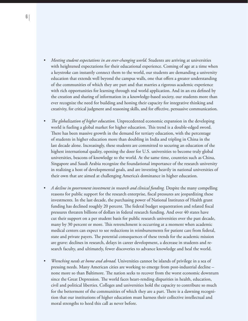- *Meeting student expectations in an ever-changing world.* Students are arriving at universities with heightened expectations for their educational experience. Coming of age at a time when a keystroke can instantly connect them to the world, our students are demanding a university education that extends well beyond the campus walls, one that offers a greater understanding of the communities of which they are part and that marries a rigorous academic experience with rich opportunities for learning through real world application. And in an era defined by the creation and sharing of information in a knowledge-based society, our students more than ever recognize the need for building and honing their capacity for integrative thinking and creativity, for critical judgment and reasoning skills, and for effective, persuasive communication.
- *The globalization of higher education*. Unprecedented economic expansion in the developing world is fueling a global market for higher education. This trend is a double-edged sword. There has been massive growth in the demand for tertiary education, with the percentage of students in higher education more than doubling in India and tripling in China in the last decade alone. Increasingly, these students are committed to securing an education of the highest international quality, opening the door for U.S. universities to become truly global universities, beacons of knowledge to the world. At the same time, countries such as China, Singapore and Saudi Arabia recognize the foundational importance of the research university in realizing a host of developmental goals, and are investing heavily in national universities of their own that are aimed at challenging America's dominance in higher education.
- A decline in government investment in research and clinical funding. Despite the many compelling reasons for public support for the research enterprise, fiscal pressures are jeopardizing these investments. In the last decade, the purchasing power of National Institutes of Health grant funding has declined roughly 20 percent. The federal budget sequestration and related fiscal pressures threaten billions of dollars in federal research funding. And over 40 states have cut their support on a per student basis for public research universities over the past decade, many by 30 percent or more. This retrenchment is occurring at a moment when academic medical centers can expect to see reductions in reimbursements for patient care from federal, state and private payers. The potential consequences of these trends for the academic mission are grave: declines in research, delays in career development, a decrease in students and research faculty, and ultimately, fewer discoveries to advance knowledge and heal the world.
- *Wrenching needs at home and abroad.* Universities cannot be islands of privilege in a sea of pressing needs. Many American cities are working to emerge from post-industrial decline – none more so than Baltimore. The nation seeks to recover from the worst economic downturn since the Great Depression. The world faces heart-rending disparities in health, education, civil and political liberties. Colleges and universities hold the capacity to contribute so much for the betterment of the communities of which they are a part. There is a dawning recognition that our institutions of higher education must harness their collective intellectual and moral strengths to heed this call as never before.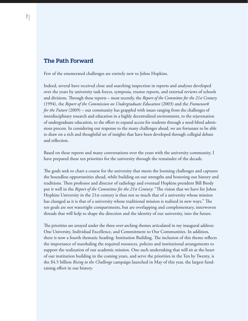#### **The Path Forward**

Few of the enumerated challenges are entirely new to Johns Hopkins.

Indeed, several have received close and searching inspection in reports and analyses developed over the years by university task forces, symposia, trustee reports, and external reviews of schools and divisions. Through these reports – most recently, the *Report of the Committee for the 21st Century* (1994), the *Report of the Commission on Undergraduate Education* (2003) and the *Framework for the Future* (2009) – our community has grappled with issues ranging from the challenges of interdisciplinary research and education in a highly decentralized environment, to the rejuvenation of undergraduate education, to the effort to expand access for students through a need-blind admissions process. In considering our response to the many challenges ahead, we are fortunate to be able to draw on a rich and thoughtful set of insights that have been developed through collegial debate and reflection.

Based on these reports and many conversations over the years with the university community, I have prepared these ten priorities for the university through the remainder of the decade.

The goals seek to chart a course for the university that meets the looming challenges and captures the boundless opportunities ahead, while building on our strengths and honoring our history and traditions. Then professor and director of radiology and eventual Hopkins president Bill Brody put it well in the *Report of the Committee for the 21st Century*: "The vision that we have for Johns Hopkins University in the 21st century is thus not so much that of a university whose mission has changed as it is that of a university whose traditional mission is realized in new ways." The ten goals are not watertight compartments, but are overlapping and complementary, interwoven threads that will help to shape the direction and the identity of our university, into the future.

The priorities are arrayed under the three over-arching themes articulated in my inaugural address: One University, Individual Excellence, and Commitment to Our Communities. In addition, there is now a fourth thematic heading: Institution Building. The inclusion of this theme reflects the importance of marshaling the required resources, policies and institutional arrangements to support the realization of our academic mission. One such undertaking that will sit at the heart of our institution building in the coming years, and serve the priorities in the Ten by Twenty, is the \$4.5 billion *Rising to the Challenge* campaign launched in May of this year, the largest fundraising effort in our history.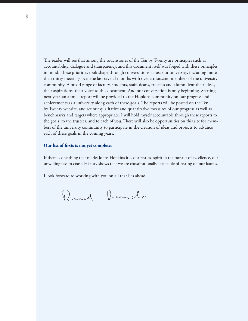The reader will see that among the touchstones of the Ten by Twenty are principles such as accountability, dialogue and transparency, and this document itself was forged with these principles in mind. These priorities took shape through conversations across our university, including more than thirty meetings over the last several months with over a thousand members of the university community. A broad range of faculty, students, staff, deans, trustees and alumni lent their ideas, their aspirations, their voice to this document. And our conversation is only beginning. Starting next year, an annual report will be provided to the Hopkins community on our progress and achievements as a university along each of these goals. The reports will be posted on the Ten by Twenty website, and set out qualitative and quantitative measures of our progress as well as benchmarks and targets where appropriate. I will hold myself accountable through these reports to the goals, to the trustees, and to each of you. There will also be opportunities on this site for members of the university community to participate in the creation of ideas and projects to advance each of these goals in the coming years.

#### **Our list of firsts is not yet complete.**

If there is one thing that marks Johns Hopkins it is our restless spirit in the pursuit of excellence, our unwillingness to coast. History shows that we are constitutionally incapable of resting on our laurels.

I look forward to working with you on all that lies ahead.

Round Daniels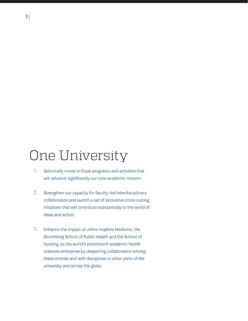# One University

- Selectively invest in those programs and activities that will advance significantly our core academic mission. 1.
- Strengthen our capacity for faculty-led interdisciplinary collaboration and launch a set of innovative cross-cutting initiatives that will contribute substantially to the world of ideas and action. 2.
- Enhance the impact of Johns Hopkins Medicine, the Bloomberg School of Public Health and the School of Nursing, as the world's preeminent academic health sciences enterprise by deepening collaboration among these entities and with disciplines in other parts of the university and across the globe. 3.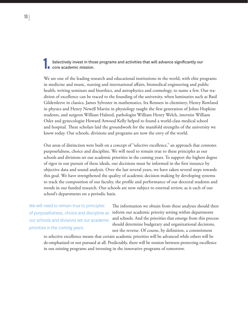Selectively invest in those programs and activities that will advance significantly our core academic mission.

We are one of the leading research and educational institutions in the world, with elite programs in medicine and music, nursing and international affairs, biomedical engineering and public health, writing seminars and bioethics, and astrophysics and cosmology, to name a few. Our tradition of excellence can be traced to the founding of the university, when luminaries such as Basil Gildersleeve in classics, James Sylvester in mathematics, Ira Remsen in chemistry, Henry Rowland in physics and Henry Newell Martin in physiology taught the first generation of Johns Hopkins students, and surgeon William Halsted, pathologist William Henry Welch, internist William Osler and gynecologist Howard Atwood Kelly helped to found a world-class medical school and hospital. These scholars laid the groundwork for the manifold strengths of the university we know today. Our schools, divisions and programs are now the envy of the world.

Our areas of distinction were built on a concept of "selective excellence," an approach that connotes purposefulness, choice and discipline. We will need to remain true to these principles as our schools and divisions set our academic priorities in the coming years. To support the highest degree of rigor in our pursuit of these ideals, our decisions must be informed in the first instance by objective data and sound analysis. Over the last several years, we have taken several steps towards this goal. We have strengthened the quality of academic decision-making by developing systems to track the composition of our faculty, the profile and performance of our doctoral students and trends in our funded research. Our schools are now subject to external review, as is each of our school's departments on a periodic basis.

We will need to remain true to principles of purposefulness, choice and discipline as our schools and divisions set our academic priorities in the coming years.

The information we obtain from these analyses should then inform our academic priority setting within departments and schools. And the priorities that emerge from this process should determine budgetary and organizational decisions, not the reverse. Of course, by definition, a commitment

to selective excellence means that certain academic priorities will be advanced while others will be de-emphasized or not pursued at all. Predictably, there will be tension between protecting excellence in our existing programs and investing in the innovative programs of tomorrow.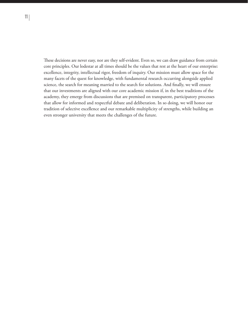These decisions are never easy, nor are they self-evident. Even so, we can draw guidance from certain core principles. Our lodestar at all times should be the values that rest at the heart of our enterprise: excellence, integrity, intellectual rigor, freedom of inquiry. Our mission must allow space for the many facets of the quest for knowledge, with fundamental research occurring alongside applied science, the search for meaning married to the search for solutions. And finally, we will ensure that our investments are aligned with our core academic mission if, in the best traditions of the academy, they emerge from discussions that are premised on transparent, participatory processes that allow for informed and respectful debate and deliberation. In so doing, we will honor our tradition of selective excellence and our remarkable multiplicity of strengths, while building an even stronger university that meets the challenges of the future.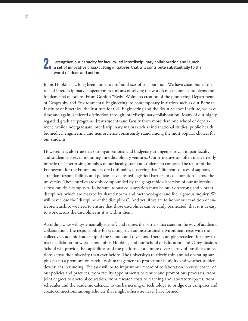### **2. Strengthen our capacity for faculty-led interdisciplinary collaboration and launch and set of innovative cross-cutting initiatives that will contribute substantially to the** world of ideas and action.

Johns Hopkins has long been home to profound acts of collaboration. We have championed the role of interdisciplinary cooperation as a means of solving the world's most complex problems and fundamental questions. From Gordon "Reds" Wolman's creation of the pioneering Department of Geography and Environmental Engineering, to contemporary initiatives such as our Berman Institute of Bioethics, the Institute for Cell Engineering and the Brain Science Institute, we have, time and again, achieved distinction through interdisciplinary collaboration. Many of our highly regarded graduate programs draw students and faculty from more than one school or department, while undergraduate interdisciplinary majors such as international studies, public health, biomedical engineering and neuroscience consistently stand among the most popular choices for our students.

However, it is also true that our organizational and budgetary arrangements can impair faculty and student success in mounting interdisciplinary ventures. Our structures too often inadvertently impede the enterprising impulses of our faculty, staff and students to connect. The report of the Framework for the Future underscored this point, observing that "different sources of support, attendant responsibilities and policies have created logistical barriers to collaboration" across the university. These hurdles are only compounded by the geographic dispersion of our university across multiple campuses. To be sure, robust collaboration must be built on strong and vibrant disciplines, which are marked by shared norms and methodologies and fuel rigorous inquiry. We will never lose the "discipline of the disciplines". And yet, if we are to honor our tradition of entrepreneurship, we need to ensure that those disciplines can be easily permeated, that it is as easy to work across the disciplines as it is within them.

Accordingly, we will systematically identify and redress the barriers that stand in the way of academic collaboration. The responsibility for creating such an institutional environment rests with the collective academic leadership of the schools and divisions. There is ample precedent for how to make collaboration work across Johns Hopkins, and our School of Education and Carey Business School will provide the capabilities and the platforms for a more diverse array of possible connections across the university than ever before. The university's relatively thin annual operating surplus places a premium on careful cash management to protect our liquidity and weather sudden downturns in funding. The task will be to imprint our record of collaboration in every corner of our policies and practices, from faculty appointments to tenure and promotions processes, from joint degrees to doctoral education, from research costs to teaching and laboratory spaces, from schedules and the academic calendar to the harnessing of technology to bridge our campuses and create connections among scholars that might otherwise never have formed.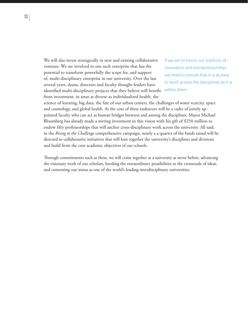We will also invest strategically in new and existing collaborative ventures. We are involved in one such enterprise that has the potential to transform powerfully the scope for, and support of, multi-disciplinary enterprise in our university. Over the last several years, deans, directors and faculty thought-leaders have identified multi-disciplinary projects that they believe will benefit from investment, in areas as diverse as individualized health, the

If we are to honor our tradition of innovation and entrepreneurship, we need to ensure that it is as easy to work across the disciplines as it is within them.

science of learning, big data, the fate of our urban centers, the challenges of water scarcity, space and cosmology, and global health. At the core of these endeavors will be a cadre of jointly appointed faculty who can act as human bridges between and among the disciplines. Mayor Michael Bloomberg has already made a stirring investment in this vision with his gift of \$250 million to endow fifty professorships that will anchor cross-disciplinary work across the university. All said, in the *Rising to the Challenge* comprehensive campaign, nearly a a quarter of the funds raised will be directed to collaborative initiatives that will knit together the university's disciplines and divisions and build from the core academic objectives of our schools.

Through commitments such as these, we will come together as a university as never before, advancing the visionary work of our scholars, heeding the extraordinary possibilities at the crossroads of ideas, and cementing our status as one of the world's leading interdisciplinary universities.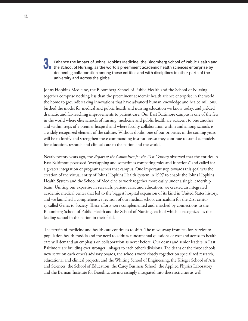### 3. Enhance the impact of Johns Hopkins Medicine, the Bloomberg School of Public Health and the School of Nursing, as the world's preeminent academic health sciences enterprise by deepening collaboration among these entities and with disciplines in other parts of the university and across the globe.

Johns Hopkins Medicine, the Bloomberg School of Public Health and the School of Nursing together comprise nothing less than the preeminent academic health science enterprise in the world, the home to groundbreaking innovations that have advanced human knowledge and healed millions, birthed the model for medical and public health and nursing education we know today, and yielded dramatic and far-reaching improvements to patient care. Our East Baltimore campus is one of the few in the world where elite schools of nursing, medicine and public health are adjacent to one another and within steps of a premier hospital and where faculty collaboration within and among schools is a widely recognized element of the culture. Without doubt, one of our priorities in the coming years will be to fortify and strengthen these commanding institutions so they continue to stand as models for education, research and clinical care to the nation and the world.

Nearly twenty years ago, the *Report of the Committee for the 21st Century* observed that the entities in East Baltimore possessed "overlapping and sometimes competing roles and functions" and called for a greater integration of programs across that campus. One important step towards this goal was the creation of the virtual entity of Johns Hopkins Health System in 1997 to enable the Johns Hopkins Health System and the School of Medicine to work together more easily under a single leadership team. Uniting our expertise in research, patient care, and education, we created an integrated academic medical center that led to the biggest hospital expansion of its kind in United States history, and we launched a comprehensive revision of our medical school curriculum for the 21st century called Genes to Society. These efforts were complemented and enriched by connections to the Bloomberg School of Public Health and the School of Nursing, each of which is recognized as the leading school in the nation in their field.

The terrain of medicine and health care continues to shift. The move away from fee-for- service to population health models and the need to address fundamental questions of cost and access to health care will demand an emphasis on collaboration as never before. Our deans and senior leaders in East Baltimore are building ever stronger linkages to each other's divisions. The deans of the three schools now serve on each other's advisory boards, the schools work closely together on specialized research, educational and clinical projects, and the Whiting School of Engineering, the Krieger School of Arts and Sciences, the School of Education, the Carey Business School, the Applied Physics Laboratory and the Berman Institute for Bioethics are increasingly integrated into these activities as well.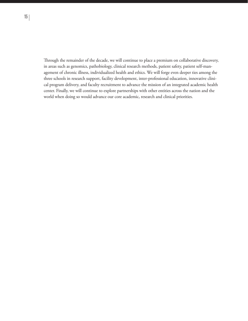Through the remainder of the decade, we will continue to place a premium on collaborative discovery, in areas such as genomics, pathobiology, clinical research methods, patient safety, patient self-management of chronic illness, individualized health and ethics. We will forge even deeper ties among the three schools in research support, facility development, inter-professional education, innovative clinical program delivery, and faculty recruitment to advance the mission of an integrated academic health center. Finally, we will continue to explore partnerships with other entities across the nation and the world when doing so would advance our core academic, research and clinical priorities.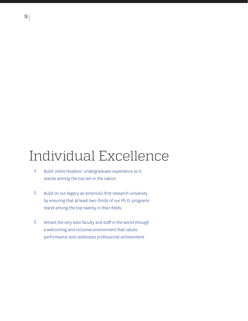# Individual Excellence

- Build Johns Hopkins' undergraduate experience so it stands among the top ten in the nation. 4.
- Build on our legacy as America's first research university by ensuring that at least two-thirds of our Ph.D. programs stand among the top twenty in their fields. 5.
- Attract the very best faculty and staff in the world through a welcoming and inclusive environment that values performance and celebrates professional achievement. 6.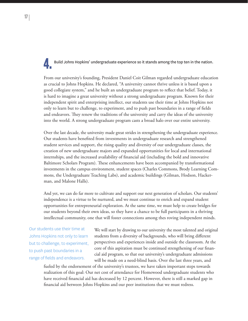### Build Johns Hopkins' undergraduate experience so it stands among the top ten in the nation.

From our university's founding, President Daniel Coit Gilman regarded undergraduate education as crucial to Johns Hopkins. He declared, "A university cannot thrive unless it is based upon a good collegiate system," and he built an undergraduate program to reflect that belief. Today, it is hard to imagine a great university without a strong undergraduate program. Known for their independent spirit and enterprising intellect, our students use their time at Johns Hopkins not only to learn but to challenge, to experiment, and to push past boundaries in a range of fields and endeavors. They renew the traditions of the university and carry the ideas of the university into the world. A strong undergraduate program casts a broad halo over our entire university.

Over the last decade, the university made great strides in strengthening the undergraduate experience. Our students have benefited from investments in undergraduate research and strengthened student services and support, the rising quality and diversity of our undergraduate classes, the creation of new undergraduate majors and expanded opportunities for local and international internships, and the increased availability of financial aid (including the bold and innovative Baltimore Scholars Program). These enhancements have been accompanied by transformational investments in the campus environment, student spaces (Charles Commons, Brody Learning Commons, the Undergraduate Teaching Labs), and academic buildings (Gilman, Hodson, Hackerman, and Malone Halls).

And yet, we can do far more to cultivate and support our next generation of scholars. Our students' independence is a virtue to be nurtured, and we must continue to enrich and expand student opportunities for entrepreneurial exploration. At the same time, we must help to create bridges for our students beyond their own ideas, so they have a chance to be full participants in a thriving intellectual community, one that will foster connections among thes roving independent minds.

Our students use their time at Johns Hopkins not only to learn but to challenge, to experiment, to push past boundaries in a range of fields and endeavors.

We will start by drawing to our university the most talented and original students from a diversity of backgrounds, who will bring different perspectives and experiences inside and outside the classroom. At the core of this aspiration must be continued strengthening of our financial aid program, so that our university's undergraduate admissions will be made on a need-blind basis. Over the last three years, and

fueled by the endorsement of the university's trustees, we have taken important steps towards realization of this goal: Our net cost of attendance for Homewood undergraduate students who have received financial aid has decreased by 12 percent. However, there is still a marked gap in financial aid between Johns Hopkins and our peer institutions that we must redress.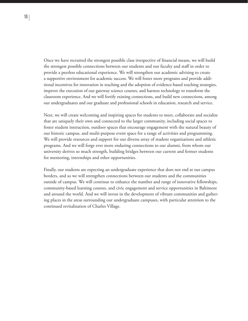Once we have recruited the strongest possible class irrespective of financial means, we will build the strongest possible connections between our students and our faculty and staff in order to provide a peerless educational experience. We will strengthen our academic advising to create a supportive environment for academic success. We will foster more programs and provide additional incentives for innovation in teaching and the adoption of evidence-based teaching strategies, improve the execution of our gateway science courses, and harness technology to transform the classroom experience. And we will fortify existing connections, and build new connections, among our undergraduates and our graduate and professional schools in education, research and service.

Next, we will create welcoming and inspiring spaces for students to meet, collaborate and socialize that are uniquely their own and connected to the larger community, including social spaces to foster student interaction, outdoor spaces that encourage engagement with the natural beauty of our historic campus, and multi-purpose event space for a range of activities and programming. We will provide resources and support for our diverse array of student organizations and athletic programs. And we will forge ever more enduring connections to our alumni, from whom our university derives so much strength, building bridges between our current and former students for mentoring, internships and other opportunities.

Finally, our students are expecting an undergraduate experience that does not end at our campus borders, and so we will strengthen connections between our students and the communities outside of campus. We will continue to enhance the number and range of innovative fellowships, community-based learning courses, and civic engagement and service opportunities in Baltimore and around the world. And we will invest in the development of vibrant communities and gathering places in the areas surrounding our undergraduate campuses, with particular attention to the continued revitalization of Charles Village.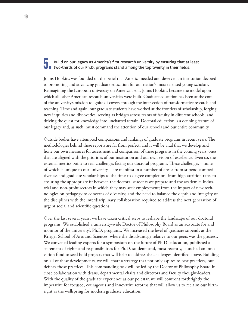### 5. Build on our legacy as America's first research university by ensuring that at least two-thirds of our Ph.D. programs stand among the top twenty in their fields.

Johns Hopkins was founded on the belief that America needed and deserved an institution devoted to promoting and advancing graduate education for our nation's most talented young scholars. Reimagining the European university on American soil, Johns Hopkins became the model upon which all other American research universities were built. Graduate education has been at the core of the university's mission to ignite discovery through the intersection of transformative research and teaching. Time and again, our graduate students have worked at the frontiers of scholarship, forging new inquiries and discoveries, serving as bridges across teams of faculty in different schools, and driving the quest for knowledge into uncharted terrain. Doctoral education is a defining feature of our legacy and, as such, must command the attention of our schools and our entire community.

Outside bodies have attempted comparisons and rankings of graduate programs in recent years. The methodologies behind these reports are far from perfect, and it will be vital that we develop and hone our own measures for assessment and comparison of these programs in the coming years, ones that are aligned with the priorities of our institution and our own vision of excellence. Even so, the external metrics point to real challenges facing our doctoral programs. These challenges – none of which is unique to our university – are manifest in a number of areas: from stipend competitiveness and graduate scholarships to the time-to-degree completion; from high attrition rates to ensuring the appropriate fit between the doctoral students we prepare and the academic, industrial and non-profit sectors in which they may seek employment; from the impact of new technologies on pedagogy to concerns of diversity; and the need to balance the depth and integrity of the disciplines with the interdisciplinary collaboration required to address the next generation of urgent social and scientific questions.

Over the last several years, we have taken critical steps to reshape the landscape of our doctoral programs. We established a university-wide Doctor of Philosophy Board as an advocate for and monitor of the university's Ph.D. programs. We increased the level of graduate stipends at the Krieger School of Arts and Sciences, where the disadvantage relative to our peers was the greatest. We convened leading experts for a symposium on the future of Ph.D. education, published a statement of rights and responsibilities for Ph.D. students and, most recently, launched an innovation fund to seed bold projects that will help to address the challenges identified above. Building on all of these developments, we will chart a strategy that not only aspires to best practices, but defines those practices. This commanding task will be led by the Doctor of Philosophy Board in close collaboration with deans, departmental chairs and directors and faculty thought-leaders. With the quality of the graduate experience as our polestar, we will confront forthrightly the imperative for focused, courageous and innovative reforms that will allow us to reclaim our birthright as the wellspring for modern graduate education.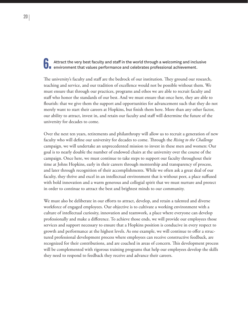### Attract the very best faculty and staff in the world through a welcoming and inclusive<br>
In environment that values performance and celebrates professional achievement.

The university's faculty and staff are the bedrock of our institution. They ground our research, teaching and service, and our tradition of excellence would not be possible without them. We must ensure that through our practices, programs and ethos we are able to recruit faculty and staff who honor the standards of our best. And we must ensure that once here, they are able to flourish: that we give them the support and opportunities for advancement such that they do not merely want to start their careers at Hopkins, but finish them here. More than any other factor, our ability to attract, invest in, and retain our faculty and staff will determine the future of the university for decades to come.

Over the next ten years, retirements and philanthropy will allow us to recruit a generation of new faculty who will define our university for decades to come. Through the *Rising to the Challenge* campaign, we will undertake an unprecedented mission to invest in these men and women: Our goal is to nearly double the number of endowed chairs at the university over the course of the campaign. Once here, we must continue to take steps to support our faculty throughout their time at Johns Hopkins, early in their careers through mentorship and transparency of process, and later through recognition of their accomplishments. While we often ask a great deal of our faculty, they thrive and excel in an intellectual environment that is without peer, a place suffused with bold innovation and a warm generous and collegial spirit that we must nurture and protect in order to continue to attract the best and brightest minds to our community.

We must also be deliberate in our efforts to attract, develop, and retain a talented and diverse workforce of engaged employees. Our objective is to cultivate a working environment with a culture of intellectual curiosity, innovation and teamwork, a place where everyone can develop professionally and make a difference. To achieve those ends, we will provide our employees those services and support necessary to ensure that a Hopkins position is conducive in every respect to growth and performance at the highest levels. As one example, we will continue to offer a structured professional development process where employees can receive constructive feedback, are recognized for their contributions, and are coached in areas of concern. This development process will be complemented with rigorous training programs that help our employees develop the skills they need to respond to feedback they receive and advance their careers.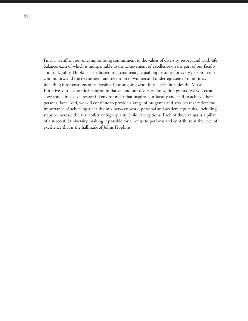Finally, we affirm our uncompromising commitment to the values of diversity, respect and work-life balance, each of which is indispensable to the achievement of excellence on the part of our faculty and staff. Johns Hopkins is dedicated to guaranteeing equal opportunity for every person in our community, and the recruitment and retention of women and underrepresented minorities, including into positions of leadership. Our ongoing work in this area includes the Mosaic Initiative, our economic inclusion initiative, and our diversity innovation grants. We will create a welcome, inclusive, respectful environment that inspires our faculty and staff to achieve their personal best. And, we will continue to provide a range of programs and services that reflect the importance of achieving a healthy mix between work, personal and academic pursuits, including steps to increase the availability of high quality child care options. Each of these values is a pillar of a successful university, making it possible for all of us to perform and contribute at the level of excellence that is the hallmark of Johns Hopkins.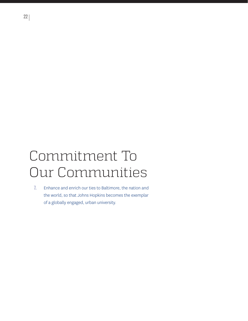# Commitment To Our Communities

Enhance and enrich our ties to Baltimore, the nation and the world, so that Johns Hopkins becomes the exemplar of a globally engaged, urban university. 7.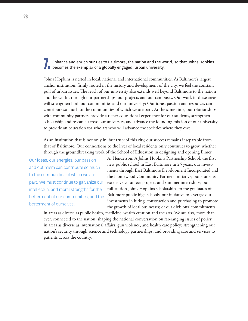Enhance and enrich our ties to Baltimore, the nation and the world, so that Johns Hopkins **D** becomes the exemplar of a globally engaged, urban university.

Johns Hopkins is nested in local, national and international communities. As Baltimore's largest anchor institution, firmly rooted in the history and development of the city, we feel the constant pull of urban issues. The reach of our university also extends well beyond Baltimore to the nation and the world, through our partnerships, our projects and our campuses. Our work in these areas will strengthen both our communities and our university: Our ideas, passion and resources can contribute so much to the communities of which we are part. At the same time, our relationships with community partners provide a richer educational experience for our students, strengthen scholarship and research across our university, and advance the founding mission of our university to provide an education for scholars who will advance the societies where they dwell.

As an institution that is not only in, but truly of this city, our success remains inseparable from that of Baltimore. Our connections to the lives of local residents only continues to grow, whether through the groundbreaking work of the School of Education in designing and opening Elmer

Our ideas, our energies, our passion and optimism can contribute so much to the communities of which we are part. We must continue to galvanize our intellectual and moral strengths for the betterment of our communities, and the betterment of ourselves.

A. Henderson: A Johns Hopkins Partnership School, the first new public school in East Baltimore in 25 years; our investments through East Baltimore Development Incorporated and the Homewood Community Partners Initiative; our students' extensive volunteer projects and summer internships; our full-tuition Johns Hopkins scholarships to the graduates of Baltimore public high schools; our initiative to leverage our investments in hiring, construction and purchasing to promote the growth of local businesses; or our divisions' commitments

in areas as diverse as public health, medicine, wealth creation and the arts. We are also, more than ever, connected to the nation, shaping the national conversation on far-ranging issues of policy in areas as diverse as international affairs, gun violence, and health care policy; strengthening our nation's security through science and technology partnerships; and providing care and services to patients across the country.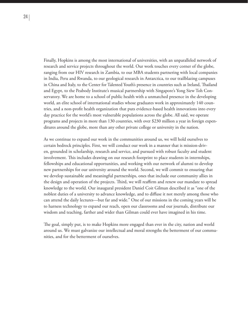Finally, Hopkins is among the most international of universities, with an unparalleled network of research and service projects throughout the world. Our work touches every corner of the globe, ranging from our HIV research in Zambia, to our MBA students partnering with local companies in India, Peru and Rwanda, to our geological research in Antarctica, to our trailblazing campuses in China and Italy, to the Center for Talented Youth's presence in countries such as Ireland, Thailand and Egypt, to the Peabody Institute's musical partnership with Singapore's Yong Siew Toh Conservatory. We are home to a school of public health with a unmatched presence in the developing world, an elite school of international studies whose graduates work in approximately 140 countries, and a non-profit health organization that puts evidence-based health innovations into every day practice for the world's most vulnerable populations across the globe. All said, we operate programs and projects in more than 130 countries, with over \$230 million a year in foreign expenditures around the globe, more than any other private college or university in the nation.

As we continue to expand our work in the communities around us, we will hold ourselves to certain bedrock principles. First, we will conduct our work in a manner that is mission-driven, grounded in scholarship, research and service, and pursued with robust faculty and student involvement. This includes drawing on our research footprint to place students in internships, fellowships and educational opportunities, and working with our network of alumni to develop new partnerships for our university around the world. Second, we will commit to ensuring that we develop sustainable and meaningful partnerships, ones that include our community allies in the design and operation of the projects. Third, we will reaffirm and renew our mandate to spread knowledge to the world. Our inaugural president Daniel Coit Gilman described it as "one of the noblest duties of a university to advance knowledge, and to diffuse it not merely among those who can attend the daily lectures—but far and wide." One of our missions in the coming years will be to harness technology to expand our reach, open our classrooms and our journals, distribute our wisdom and teaching, farther and wider than Gilman could ever have imagined in his time.

The goal, simply put, is to make Hopkins more engaged than ever in the city, nation and world around us. We must galvanize our intellectual and moral strengths the betterment of our communities, and for the betterment of ourselves.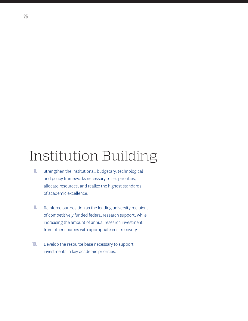# Institution Building

- Strengthen the institutional, budgetary, technological and policy frameworks necessary to set priorities, allocate resources, and realize the highest standards of academic excellence. 8.
- Reinforce our position as the leading university recipient of competitively funded federal research support, while increasing the amount of annual research investment from other sources with appropriate cost recovery. 9.
- Develop the resource base necessary to support investments in key academic priorities. 10.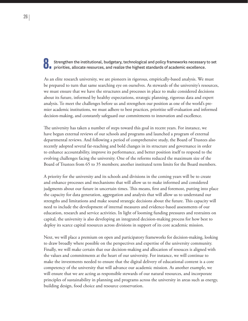### **OF** Strengthen the institutional, budgetary, technological and policy frameworks necessary to set priorities, allocate resources, and realize the highest standards of academic excellence.

As an elite research university, we are pioneers in rigorous, empirically-based analysis. We must be prepared to turn that same searching eye on ourselves. As stewards of the university's resources, we must ensure that we have the structures and processes in place to make considered decisions about its future, informed by healthy expectations, strategic planning, rigorous data and expert analysis. To meet the challenges before us and strengthen our position as one of the world's premier academic institutions, we must adhere to best practices, prioritize self-evaluation and informed decision-making, and constantly safeguard our commitments to innovation and excellence.

The university has taken a number of steps toward this goal in recent years. For instance, we have begun external reviews of our schools and programs and launched a program of external departmental reviews. And following a period of comprehensive study, the Board of Trustees also recently adopted several far-reaching and bold changes in its structure and governance in order to enhance accountability, improve its performance, and better position itself to respond to the evolving challenges facing the university. One of the reforms reduced the maximum size of the Board of Trustees from 65 to 35 members; another instituted term limits for the Board members.

A priority for the university and its schools and divisions in the coming years will be to create and enhance processes and mechanisms that will allow us to make informed and considered judgments about our future in uncertain times. This means, first and foremost, putting into place the capacity for data generation, aggregation and analysis that will allow us to understand our strengths and limitations and make sound strategic decisions about the future. This capacity will need to include the development of internal measures and evidence-based assessments of our education, research and service activities. In light of looming funding pressures and restraints on capital, the university is also developing an integrated decision-making process for how best to deploy its scarce capital resources across divisions in support of its core academic mission.

Next, we will place a premium on open and participatory frameworks for decision-making, looking to draw broadly where possible on the perspectives and expertise of the university community. Finally, we will make certain that our decision-making and allocation of resouces is aligned with the values and commitments at the heart of our university. For instance, we will continue to make the investments needed to ensure that the digital delivery of educational content is a core competency of the university that will advance our academic mission. As another example, we will ensure that we are acting as responsible stewards of our natural resources, and incorporate principles of sustainability in planning and programs across the university in areas such as energy, building design, food choice and resource conservation.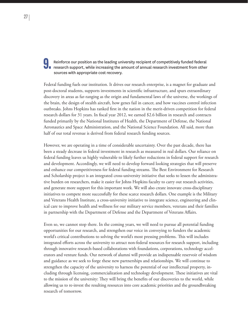### Reinforce our position as the leading university recipient of competitively funded federal<br>research support, while increasing the amount of annual research investment from other sources with appropriate cost recovery.

Federal funding fuels our institution. It drives our research enterprise, is a magnet for graduate and post-doctoral students, supports investments in scientific infrastructure, and spurs extraordinary discovery in areas as far-ranging as the origin and fundamental laws of the universe, the workings of the brain, the design of stealth aircraft, how genes fail in cancer, and how vaccines control infection outbreaks. Johns Hopkins has ranked first in the nation in the merit-driven competition for federal research dollars for 31 years. In fiscal year 2012, we earned \$2.6 billion in research and contracts funded primarily by the National Institutes of Health, the Department of Defense, the National Aeronautics and Space Administration, and the National Science Foundation. All said, more than half of our total revenue is derived from federal research funding sources.

However, we are operating in a time of considerable uncertainty. Over the past decade, there has been a steady decrease in federal investment in research as measured in real dollars. Our reliance on federal funding leaves us highly vulnerable to likely further reductions in federal support for research and development. Accordingly, we will need to develop forward looking strategies that will preserve and enhance our competitiveness for federal funding streams. The Best Environment for Research and Scholarship project is an integrated cross-university initiative that seeks to lessen the administrative burden on researchers, make it easier for Johns Hopkins faculty to carry out research activities, and generate more support for this important work. We will also create innovate cross-disciplinary initiatives to compete more successfully for these scarce research dollars. One example is the Military and Veterans Health Institute, a cross-university initiative to integrate science, engineering and clinical care to improve health and wellness for our military service members, veterans and their families in partnership with the Department of Defense and the Department of Veterans Affairs.

Even so, we cannot stop there. In the coming years, we will need to pursue all potential funding opportunities for our research, and strengthen our voice in conveying to funders the academic world's critical contributions to solving the world's most pressing problems. This will includes integrated efforts across the university to attract non-federal resources for research support, including through innovative research-based collaborations with foundations, corporations, technology accelerators and venture funds. Our network of alumni will provide an indispensable reservoir of wisdom and guidance as we seek to forge these new partnerships and relationships. We will continue to strengthen the capacity of the university to harness the potential of our intellectual property, including through licensing, commercialization and technology development. These initiatives are vital to the mission of the university: They will bring the benefits of our discoveries to the world, while allowing us to re-invest the resulting resources into core academic priorities and the groundbreaking research of tomorrow.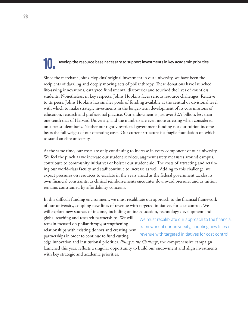## Develop the resource base necessary to support investments in key academic priorities.

Since the merchant Johns Hopkins' original investment in our university, we have been the recipients of dazzling and deeply moving acts of philanthropy. These donations have launched life-saving innovations, catalyzed fundamental discoveries and touched the lives of countless students. Nonetheless, in key respects, Johns Hopkins faces serious resource challenges. Relative to its peers, Johns Hopkins has smaller pools of funding available at the central or divisional level with which to make strategic investments in the longer-term development of its core missions of education, research and professional practice. Our endowment is just over \$2.5 billion, less than one-tenth that of Harvard University, and the numbers are even more arresting when considered on a per-student basis. Neither our tightly restricted government funding nor our tuition income bears the full weight of our operating costs. Our current structure is a fragile foundation on which to stand an elite university.

At the same time, our costs are only continuing to increase in every component of our university. We feel the pinch as we increase our student services, augment safety measures around campus, contribute to community initiatives or bolster our student aid. The costs of attracting and retaining our world-class faculty and staff continue to increase as well. Adding to this challenge, we expect pressures on resources to escalate in the years ahead as the federal government tackles its own financial constraints, as clinical reimbursements encounter downward pressure, and as tuition remains constrained by affordability concerns.

In this difficult funding environment, we must recalibrate our approach to the financial framework of our university, coupling new lines of revenue with targeted initiatives for cost control. We will explore new sources of income, including online education, technology development and

global teaching and research partnerships. We will remain focused on philanthropy, strengthening relationships with existing donors and creating new partnerships in order to continue to fund cutting

We must recalibrate our approach to the financial framework of our university, coupling new lines of revenue with targeted initiatives for cost control.

edge innovation and institutional priorities. *Rising to the Challenge*, the comprehensive campaign launched this year, reflects a singular opportunity to build our endowment and align investments with key strategic and academic priorities.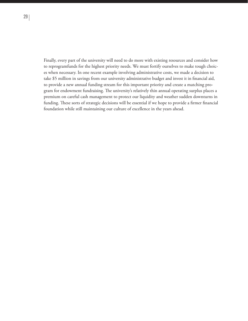Finally, every part of the university will need to do more with existing resources and consider how to reprogramfunds for the highest priority needs. We must fortify ourselves to make tough choices when necessary. In one recent example involving administrative costs, we made a decision to take \$5 million in savings from our university administrative budget and invest it in financial aid, to provide a new annual funding stream for this important priority and create a matching program for endowment fundraising. The university's relatively thin annual operating surplus places a premium on careful cash management to protect our liquidity and weather sudden downturns in funding. These sorts of strategic decisions will be essential if we hope to provide a firmer financial foundation while still maintaining our culture of excellence in the years ahead.